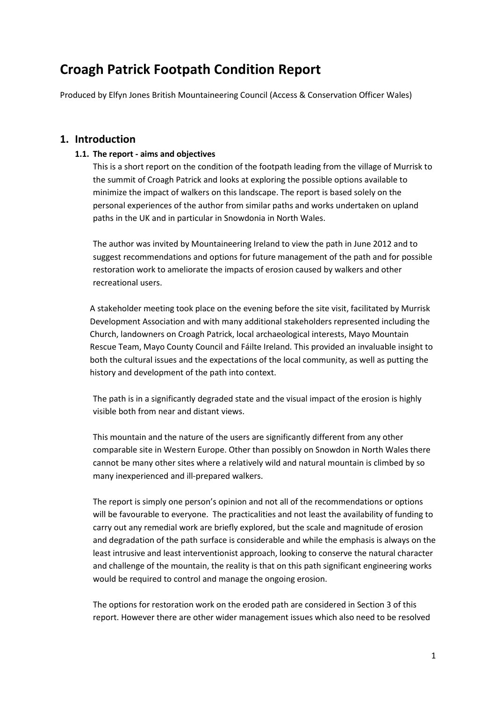# **Croagh Patrick Footpath Condition Report**

Produced by Elfyn Jones British Mountaineering Council (Access & Conservation Officer Wales)

# **1. Introduction**

#### **1.1. The report - aims and objectives**

This is a short report on the condition of the footpath leading from the village of Murrisk to the summit of Croagh Patrick and looks at exploring the possible options available to minimize the impact of walkers on this landscape. The report is based solely on the personal experiences of the author from similar paths and works undertaken on upland paths in the UK and in particular in Snowdonia in North Wales.

The author was invited by Mountaineering Ireland to view the path in June 2012 and to suggest recommendations and options for future management of the path and for possible restoration work to ameliorate the impacts of erosion caused by walkers and other recreational users.

A stakeholder meeting took place on the evening before the site visit, facilitated by Murrisk Development Association and with many additional stakeholders represented including the Church, landowners on Croagh Patrick, local archaeological interests, Mayo Mountain Rescue Team, Mayo County Council and Fáilte Ireland. This provided an invaluable insight to both the cultural issues and the expectations of the local community, as well as putting the history and development of the path into context.

The path is in a significantly degraded state and the visual impact of the erosion is highly visible both from near and distant views.

This mountain and the nature of the users are significantly different from any other comparable site in Western Europe. Other than possibly on Snowdon in North Wales there cannot be many other sites where a relatively wild and natural mountain is climbed by so many inexperienced and ill-prepared walkers.

The report is simply one person's opinion and not all of the recommendations or options will be favourable to everyone. The practicalities and not least the availability of funding to carry out any remedial work are briefly explored, but the scale and magnitude of erosion and degradation of the path surface is considerable and while the emphasis is always on the least intrusive and least interventionist approach, looking to conserve the natural character and challenge of the mountain, the reality is that on this path significant engineering works would be required to control and manage the ongoing erosion.

The options for restoration work on the eroded path are considered in Section 3 of this report. However there are other wider management issues which also need to be resolved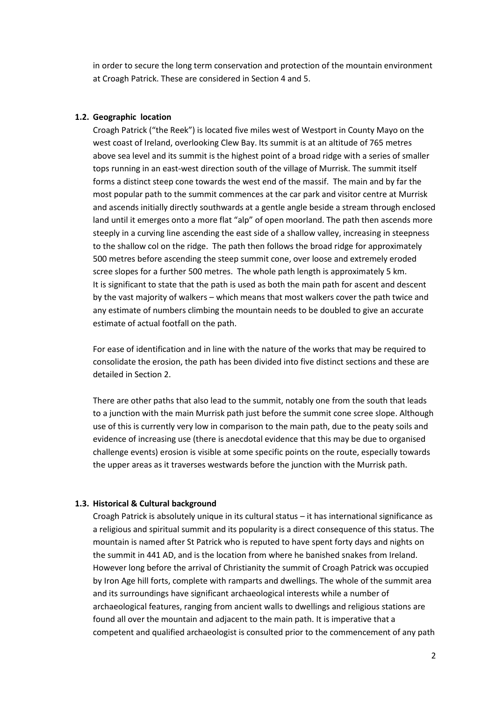in order to secure the long term conservation and protection of the mountain environment at Croagh Patrick. These are considered in Section 4 and 5.

#### **1.2. Geographic location**

Croagh Patrick ("the Reek") is located five miles west of Westport in County Mayo on the west coast of Ireland, overlooking Clew Bay. Its summit is at an altitude of 765 metres above sea level and its summit is the highest point of a broad ridge with a series of smaller tops running in an east-west direction south of the village of Murrisk. The summit itself forms a distinct steep cone towards the west end of the massif. The main and by far the most popular path to the summit commences at the car park and visitor centre at Murrisk and ascends initially directly southwards at a gentle angle beside a stream through enclosed land until it emerges onto a more flat "alp" of open moorland. The path then ascends more steeply in a curving line ascending the east side of a shallow valley, increasing in steepness to the shallow col on the ridge. The path then follows the broad ridge for approximately 500 metres before ascending the steep summit cone, over loose and extremely eroded scree slopes for a further 500 metres. The whole path length is approximately 5 km. It is significant to state that the path is used as both the main path for ascent and descent by the vast majority of walkers – which means that most walkers cover the path twice and any estimate of numbers climbing the mountain needs to be doubled to give an accurate estimate of actual footfall on the path.

For ease of identification and in line with the nature of the works that may be required to consolidate the erosion, the path has been divided into five distinct sections and these are detailed in Section 2.

There are other paths that also lead to the summit, notably one from the south that leads to a junction with the main Murrisk path just before the summit cone scree slope. Although use of this is currently very low in comparison to the main path, due to the peaty soils and evidence of increasing use (there is anecdotal evidence that this may be due to organised challenge events) erosion is visible at some specific points on the route, especially towards the upper areas as it traverses westwards before the junction with the Murrisk path.

#### **1.3. Historical & Cultural background**

Croagh Patrick is absolutely unique in its cultural status – it has international significance as a religious and spiritual summit and its popularity is a direct consequence of this status. The mountain is named after St Patrick who is reputed to have spent forty days and nights on the summit in 441 AD, and is the location from where he banished snakes from Ireland. However long before the arrival of Christianity the summit of Croagh Patrick was occupied by Iron Age hill forts, complete with ramparts and dwellings. The whole of the summit area and its surroundings have significant archaeological interests while a number of archaeological features, ranging from ancient walls to dwellings and religious stations are found all over the mountain and adjacent to the main path. It is imperative that a competent and qualified archaeologist is consulted prior to the commencement of any path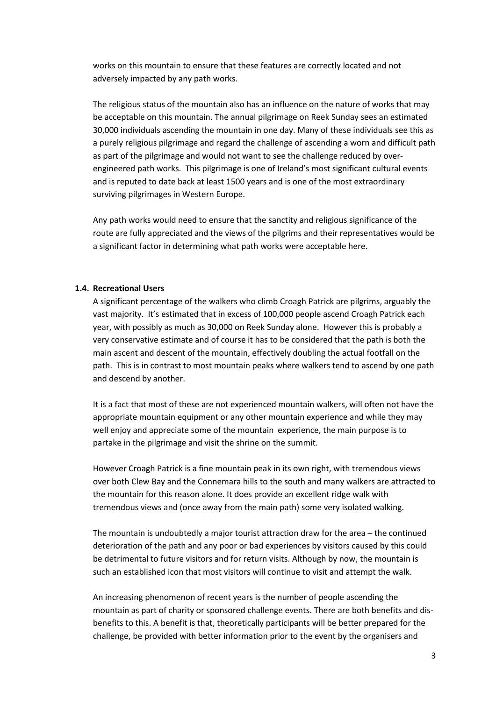works on this mountain to ensure that these features are correctly located and not adversely impacted by any path works.

The religious status of the mountain also has an influence on the nature of works that may be acceptable on this mountain. The annual pilgrimage on Reek Sunday sees an estimated 30,000 individuals ascending the mountain in one day. Many of these individuals see this as a purely religious pilgrimage and regard the challenge of ascending a worn and difficult path as part of the pilgrimage and would not want to see the challenge reduced by overengineered path works. This pilgrimage is one of Ireland's most significant cultural events and is reputed to date back at least 1500 years and is one of the most extraordinary surviving pilgrimages in Western Europe.

Any path works would need to ensure that the sanctity and religious significance of the route are fully appreciated and the views of the pilgrims and their representatives would be a significant factor in determining what path works were acceptable here.

## **1.4. Recreational Users**

A significant percentage of the walkers who climb Croagh Patrick are pilgrims, arguably the vast majority. It's estimated that in excess of 100,000 people ascend Croagh Patrick each year, with possibly as much as 30,000 on Reek Sunday alone. However this is probably a very conservative estimate and of course it has to be considered that the path is both the main ascent and descent of the mountain, effectively doubling the actual footfall on the path. This is in contrast to most mountain peaks where walkers tend to ascend by one path and descend by another.

It is a fact that most of these are not experienced mountain walkers, will often not have the appropriate mountain equipment or any other mountain experience and while they may well enjoy and appreciate some of the mountain experience, the main purpose is to partake in the pilgrimage and visit the shrine on the summit.

However Croagh Patrick is a fine mountain peak in its own right, with tremendous views over both Clew Bay and the Connemara hills to the south and many walkers are attracted to the mountain for this reason alone. It does provide an excellent ridge walk with tremendous views and (once away from the main path) some very isolated walking.

The mountain is undoubtedly a major tourist attraction draw for the area – the continued deterioration of the path and any poor or bad experiences by visitors caused by this could be detrimental to future visitors and for return visits. Although by now, the mountain is such an established icon that most visitors will continue to visit and attempt the walk.

An increasing phenomenon of recent years is the number of people ascending the mountain as part of charity or sponsored challenge events. There are both benefits and disbenefits to this. A benefit is that, theoretically participants will be better prepared for the challenge, be provided with better information prior to the event by the organisers and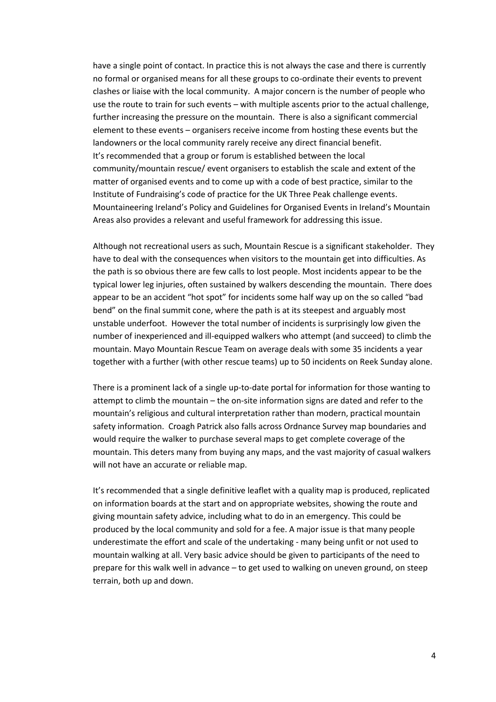have a single point of contact. In practice this is not always the case and there is currently no formal or organised means for all these groups to co-ordinate their events to prevent clashes or liaise with the local community. A major concern is the number of people who use the route to train for such events – with multiple ascents prior to the actual challenge, further increasing the pressure on the mountain. There is also a significant commercial element to these events – organisers receive income from hosting these events but the landowners or the local community rarely receive any direct financial benefit. It's recommended that a group or forum is established between the local community/mountain rescue/ event organisers to establish the scale and extent of the matter of organised events and to come up with a code of best practice, similar to the Institute of Fundraising's code of practice for the UK Three Peak challenge events. Mountaineering Ireland's Policy and Guidelines for Organised Events in Ireland's Mountain Areas also provides a relevant and useful framework for addressing this issue.

Although not recreational users as such, Mountain Rescue is a significant stakeholder. They have to deal with the consequences when visitors to the mountain get into difficulties. As the path is so obvious there are few calls to lost people. Most incidents appear to be the typical lower leg injuries, often sustained by walkers descending the mountain. There does appear to be an accident "hot spot" for incidents some half way up on the so called "bad bend" on the final summit cone, where the path is at its steepest and arguably most unstable underfoot. However the total number of incidents is surprisingly low given the number of inexperienced and ill-equipped walkers who attempt (and succeed) to climb the mountain. Mayo Mountain Rescue Team on average deals with some 35 incidents a year together with a further (with other rescue teams) up to 50 incidents on Reek Sunday alone.

There is a prominent lack of a single up-to-date portal for information for those wanting to attempt to climb the mountain – the on-site information signs are dated and refer to the mountain's religious and cultural interpretation rather than modern, practical mountain safety information. Croagh Patrick also falls across Ordnance Survey map boundaries and would require the walker to purchase several maps to get complete coverage of the mountain. This deters many from buying any maps, and the vast majority of casual walkers will not have an accurate or reliable map.

It's recommended that a single definitive leaflet with a quality map is produced, replicated on information boards at the start and on appropriate websites, showing the route and giving mountain safety advice, including what to do in an emergency. This could be produced by the local community and sold for a fee. A major issue is that many people underestimate the effort and scale of the undertaking - many being unfit or not used to mountain walking at all. Very basic advice should be given to participants of the need to prepare for this walk well in advance – to get used to walking on uneven ground, on steep terrain, both up and down.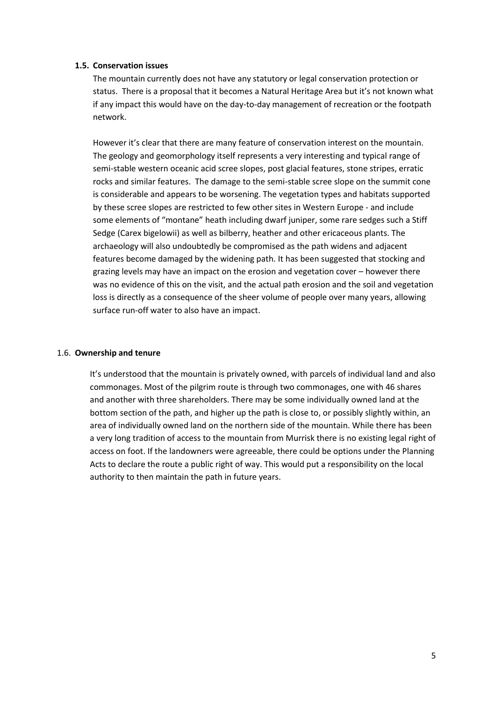#### **1.5. Conservation issues**

The mountain currently does not have any statutory or legal conservation protection or status. There is a proposal that it becomes a Natural Heritage Area but it's not known what if any impact this would have on the day-to-day management of recreation or the footpath network.

However it's clear that there are many feature of conservation interest on the mountain. The geology and geomorphology itself represents a very interesting and typical range of semi-stable western oceanic acid scree slopes, post glacial features, stone stripes, erratic rocks and similar features. The damage to the semi-stable scree slope on the summit cone is considerable and appears to be worsening. The vegetation types and habitats supported by these scree slopes are restricted to few other sites in Western Europe - and include some elements of "montane" heath including dwarf juniper, some rare sedges such a Stiff Sedge (Carex bigelowii) as well as bilberry, heather and other ericaceous plants. The archaeology will also undoubtedly be compromised as the path widens and adjacent features become damaged by the widening path. It has been suggested that stocking and grazing levels may have an impact on the erosion and vegetation cover – however there was no evidence of this on the visit, and the actual path erosion and the soil and vegetation loss is directly as a consequence of the sheer volume of people over many years, allowing surface run-off water to also have an impact.

#### 1.6. **Ownership and tenure**

It's understood that the mountain is privately owned, with parcels of individual land and also commonages. Most of the pilgrim route is through two commonages, one with 46 shares and another with three shareholders. There may be some individually owned land at the bottom section of the path, and higher up the path is close to, or possibly slightly within, an area of individually owned land on the northern side of the mountain. While there has been a very long tradition of access to the mountain from Murrisk there is no existing legal right of access on foot. If the landowners were agreeable, there could be options under the Planning Acts to declare the route a public right of way. This would put a responsibility on the local authority to then maintain the path in future years.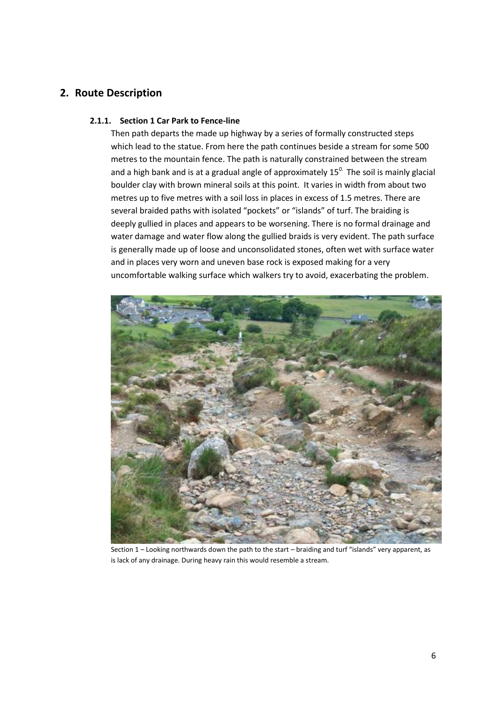# **2. Route Description**

## **2.1.1. Section 1 Car Park to Fence-line**

Then path departs the made up highway by a series of formally constructed steps which lead to the statue. From here the path continues beside a stream for some 500 metres to the mountain fence. The path is naturally constrained between the stream and a high bank and is at a gradual angle of approximately  $15<sup>0</sup>$ . The soil is mainly glacial boulder clay with brown mineral soils at this point. It varies in width from about two metres up to five metres with a soil loss in places in excess of 1.5 metres. There are several braided paths with isolated "pockets" or "islands" of turf. The braiding is deeply gullied in places and appears to be worsening. There is no formal drainage and water damage and water flow along the gullied braids is very evident. The path surface is generally made up of loose and unconsolidated stones, often wet with surface water and in places very worn and uneven base rock is exposed making for a very uncomfortable walking surface which walkers try to avoid, exacerbating the problem.



Section 1 – Looking northwards down the path to the start – braiding and turf "islands" very apparent, as is lack of any drainage. During heavy rain this would resemble a stream.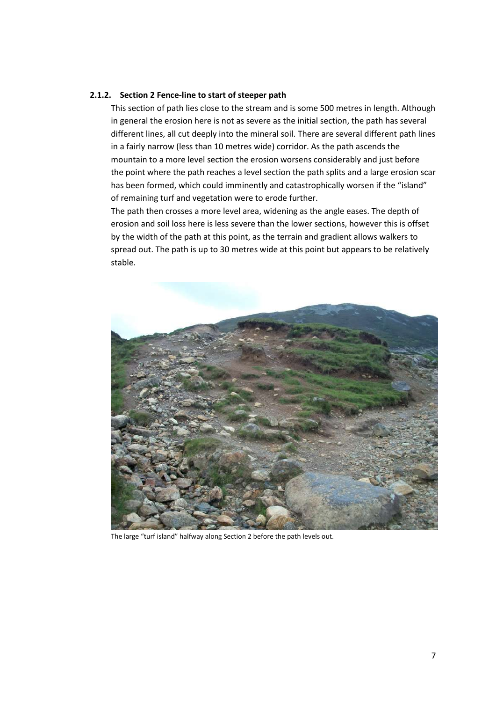#### **2.1.2. Section 2 Fence-line to start of steeper path**

This section of path lies close to the stream and is some 500 metres in length. Although in general the erosion here is not as severe as the initial section, the path has several different lines, all cut deeply into the mineral soil. There are several different path lines in a fairly narrow (less than 10 metres wide) corridor. As the path ascends the mountain to a more level section the erosion worsens considerably and just before the point where the path reaches a level section the path splits and a large erosion scar has been formed, which could imminently and catastrophically worsen if the "island" of remaining turf and vegetation were to erode further.

The path then crosses a more level area, widening as the angle eases. The depth of erosion and soil loss here is less severe than the lower sections, however this is offset by the width of the path at this point, as the terrain and gradient allows walkers to spread out. The path is up to 30 metres wide at this point but appears to be relatively stable.



The large "turf island" halfway along Section 2 before the path levels out.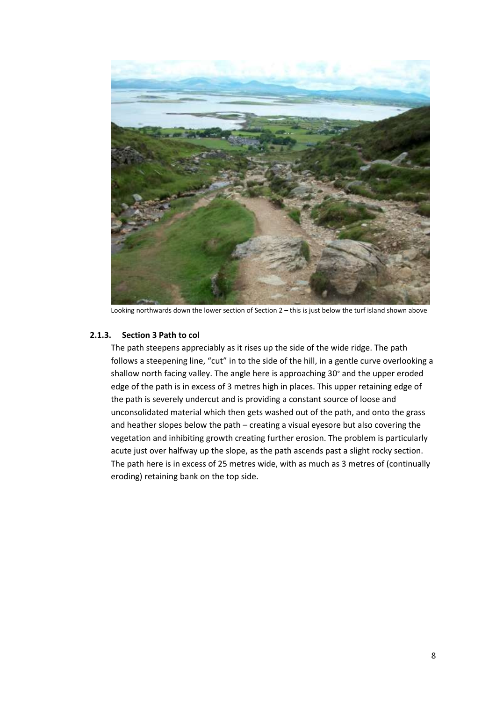

Looking northwards down the lower section of Section 2 – this is just below the turf island shown above

#### **2.1.3. Section 3 Path to col**

The path steepens appreciably as it rises up the side of the wide ridge. The path follows a steepening line, "cut" in to the side of the hill, in a gentle curve overlooking a shallow north facing valley. The angle here is approaching 30° and the upper eroded edge of the path is in excess of 3 metres high in places. This upper retaining edge of the path is severely undercut and is providing a constant source of loose and unconsolidated material which then gets washed out of the path, and onto the grass and heather slopes below the path – creating a visual eyesore but also covering the vegetation and inhibiting growth creating further erosion. The problem is particularly acute just over halfway up the slope, as the path ascends past a slight rocky section. The path here is in excess of 25 metres wide, with as much as 3 metres of (continually eroding) retaining bank on the top side.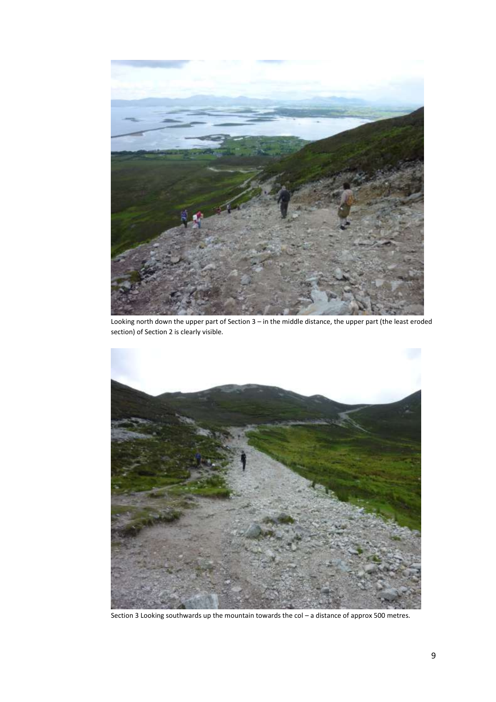

Looking north down the upper part of Section 3 – in the middle distance, the upper part (the least eroded section) of Section 2 is clearly visible.



Section 3 Looking southwards up the mountain towards the col – a distance of approx 500 metres.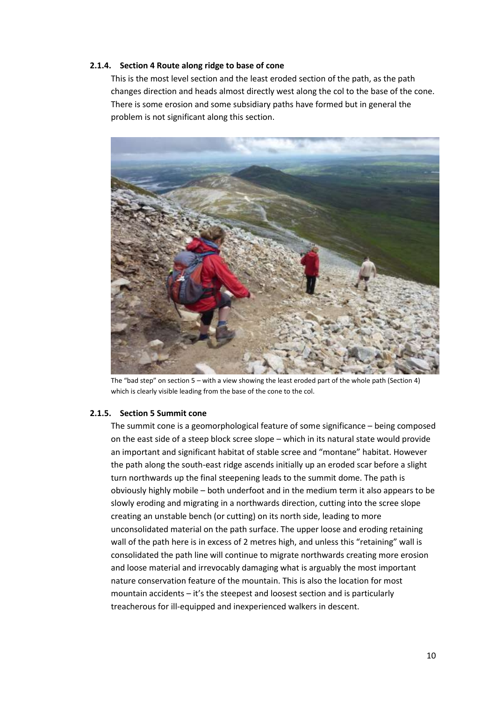#### **2.1.4. Section 4 Route along ridge to base of cone**

This is the most level section and the least eroded section of the path, as the path changes direction and heads almost directly west along the col to the base of the cone. There is some erosion and some subsidiary paths have formed but in general the problem is not significant along this section.



The "bad step" on section 5 – with a view showing the least eroded part of the whole path (Section 4) which is clearly visible leading from the base of the cone to the col.

#### **2.1.5. Section 5 Summit cone**

The summit cone is a geomorphological feature of some significance – being composed on the east side of a steep block scree slope – which in its natural state would provide an important and significant habitat of stable scree and "montane" habitat. However the path along the south-east ridge ascends initially up an eroded scar before a slight turn northwards up the final steepening leads to the summit dome. The path is obviously highly mobile – both underfoot and in the medium term it also appears to be slowly eroding and migrating in a northwards direction, cutting into the scree slope creating an unstable bench (or cutting) on its north side, leading to more unconsolidated material on the path surface. The upper loose and eroding retaining wall of the path here is in excess of 2 metres high, and unless this "retaining" wall is consolidated the path line will continue to migrate northwards creating more erosion and loose material and irrevocably damaging what is arguably the most important nature conservation feature of the mountain. This is also the location for most mountain accidents – it's the steepest and loosest section and is particularly treacherous for ill-equipped and inexperienced walkers in descent.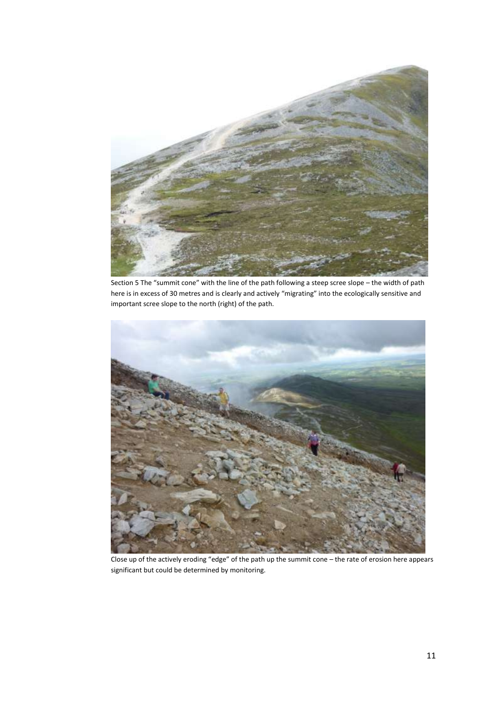

Section 5 The "summit cone" with the line of the path following a steep scree slope – the width of path here is in excess of 30 metres and is clearly and actively "migrating" into the ecologically sensitive and important scree slope to the north (right) of the path.



Close up of the actively eroding "edge" of the path up the summit cone – the rate of erosion here appears significant but could be determined by monitoring.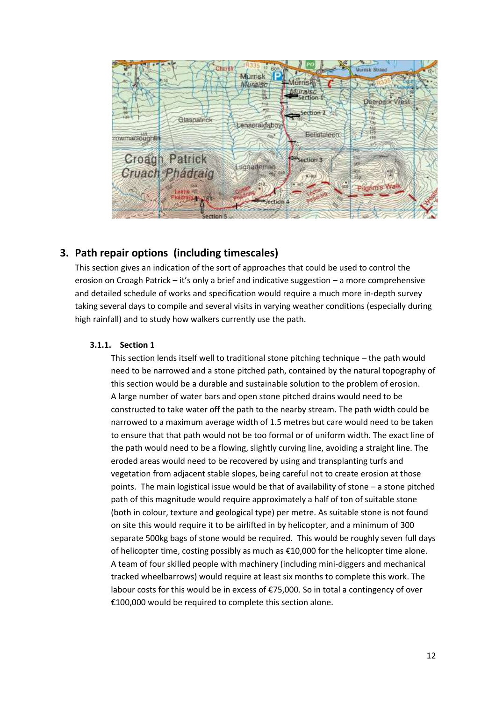

# **3. Path repair options (including timescales)**

This section gives an indication of the sort of approaches that could be used to control the erosion on Croagh Patrick – it's only a brief and indicative suggestion – a more comprehensive and detailed schedule of works and specification would require a much more in-depth survey taking several days to compile and several visits in varying weather conditions (especially during high rainfall) and to study how walkers currently use the path.

#### **3.1.1. Section 1**

This section lends itself well to traditional stone pitching technique – the path would need to be narrowed and a stone pitched path, contained by the natural topography of this section would be a durable and sustainable solution to the problem of erosion. A large number of water bars and open stone pitched drains would need to be constructed to take water off the path to the nearby stream. The path width could be narrowed to a maximum average width of 1.5 metres but care would need to be taken to ensure that that path would not be too formal or of uniform width. The exact line of the path would need to be a flowing, slightly curving line, avoiding a straight line. The eroded areas would need to be recovered by using and transplanting turfs and vegetation from adjacent stable slopes, being careful not to create erosion at those points. The main logistical issue would be that of availability of stone – a stone pitched path of this magnitude would require approximately a half of ton of suitable stone (both in colour, texture and geological type) per metre. As suitable stone is not found on site this would require it to be airlifted in by helicopter, and a minimum of 300 separate 500kg bags of stone would be required. This would be roughly seven full days of helicopter time, costing possibly as much as  $£10,000$  for the helicopter time alone. A team of four skilled people with machinery (including mini-diggers and mechanical tracked wheelbarrows) would require at least six months to complete this work. The labour costs for this would be in excess of €75,000. So in total a contingency of over €100,000 would be required to complete this section alone.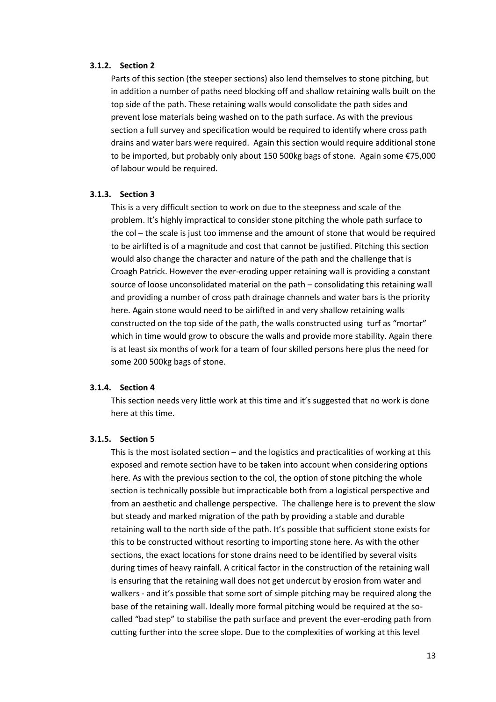#### **3.1.2. Section 2**

Parts of this section (the steeper sections) also lend themselves to stone pitching, but in addition a number of paths need blocking off and shallow retaining walls built on the top side of the path. These retaining walls would consolidate the path sides and prevent lose materials being washed on to the path surface. As with the previous section a full survey and specification would be required to identify where cross path drains and water bars were required. Again this section would require additional stone to be imported, but probably only about 150 500kg bags of stone. Again some €75,000 of labour would be required.

#### **3.1.3. Section 3**

This is a very difficult section to work on due to the steepness and scale of the problem. It's highly impractical to consider stone pitching the whole path surface to the col – the scale is just too immense and the amount of stone that would be required to be airlifted is of a magnitude and cost that cannot be justified. Pitching this section would also change the character and nature of the path and the challenge that is Croagh Patrick. However the ever-eroding upper retaining wall is providing a constant source of loose unconsolidated material on the path – consolidating this retaining wall and providing a number of cross path drainage channels and water bars is the priority here. Again stone would need to be airlifted in and very shallow retaining walls constructed on the top side of the path, the walls constructed using turf as "mortar" which in time would grow to obscure the walls and provide more stability. Again there is at least six months of work for a team of four skilled persons here plus the need for some 200 500kg bags of stone.

#### **3.1.4. Section 4**

This section needs very little work at this time and it's suggested that no work is done here at this time.

#### **3.1.5. Section 5**

This is the most isolated section – and the logistics and practicalities of working at this exposed and remote section have to be taken into account when considering options here. As with the previous section to the col, the option of stone pitching the whole section is technically possible but impracticable both from a logistical perspective and from an aesthetic and challenge perspective. The challenge here is to prevent the slow but steady and marked migration of the path by providing a stable and durable retaining wall to the north side of the path. It's possible that sufficient stone exists for this to be constructed without resorting to importing stone here. As with the other sections, the exact locations for stone drains need to be identified by several visits during times of heavy rainfall. A critical factor in the construction of the retaining wall is ensuring that the retaining wall does not get undercut by erosion from water and walkers - and it's possible that some sort of simple pitching may be required along the base of the retaining wall. Ideally more formal pitching would be required at the socalled "bad step" to stabilise the path surface and prevent the ever-eroding path from cutting further into the scree slope. Due to the complexities of working at this level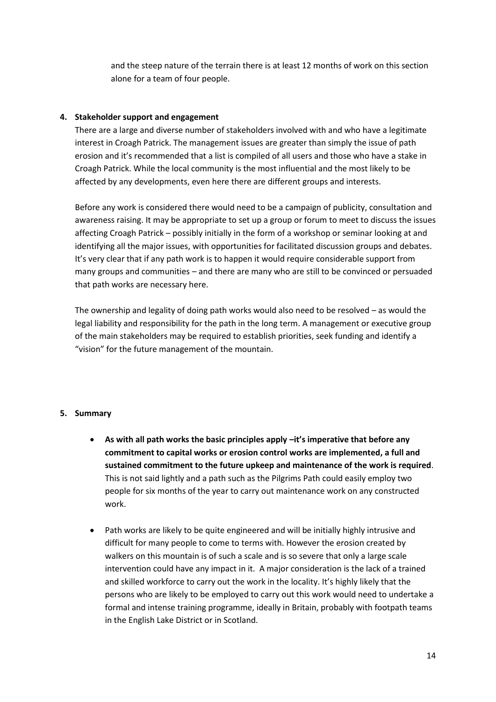and the steep nature of the terrain there is at least 12 months of work on this section alone for a team of four people.

## **4. Stakeholder support and engagement**

There are a large and diverse number of stakeholders involved with and who have a legitimate interest in Croagh Patrick. The management issues are greater than simply the issue of path erosion and it's recommended that a list is compiled of all users and those who have a stake in Croagh Patrick. While the local community is the most influential and the most likely to be affected by any developments, even here there are different groups and interests.

Before any work is considered there would need to be a campaign of publicity, consultation and awareness raising. It may be appropriate to set up a group or forum to meet to discuss the issues affecting Croagh Patrick – possibly initially in the form of a workshop or seminar looking at and identifying all the major issues, with opportunities for facilitated discussion groups and debates. It's very clear that if any path work is to happen it would require considerable support from many groups and communities – and there are many who are still to be convinced or persuaded that path works are necessary here.

The ownership and legality of doing path works would also need to be resolved – as would the legal liability and responsibility for the path in the long term. A management or executive group of the main stakeholders may be required to establish priorities, seek funding and identify a "vision" for the future management of the mountain.

#### **5. Summary**

- **As with all path works the basic principles apply –it's imperative that before any commitment to capital works or erosion control works are implemented, a full and sustained commitment to the future upkeep and maintenance of the work is required**. This is not said lightly and a path such as the Pilgrims Path could easily employ two people for six months of the year to carry out maintenance work on any constructed work.
- Path works are likely to be quite engineered and will be initially highly intrusive and difficult for many people to come to terms with. However the erosion created by walkers on this mountain is of such a scale and is so severe that only a large scale intervention could have any impact in it. A major consideration is the lack of a trained and skilled workforce to carry out the work in the locality. It's highly likely that the persons who are likely to be employed to carry out this work would need to undertake a formal and intense training programme, ideally in Britain, probably with footpath teams in the English Lake District or in Scotland.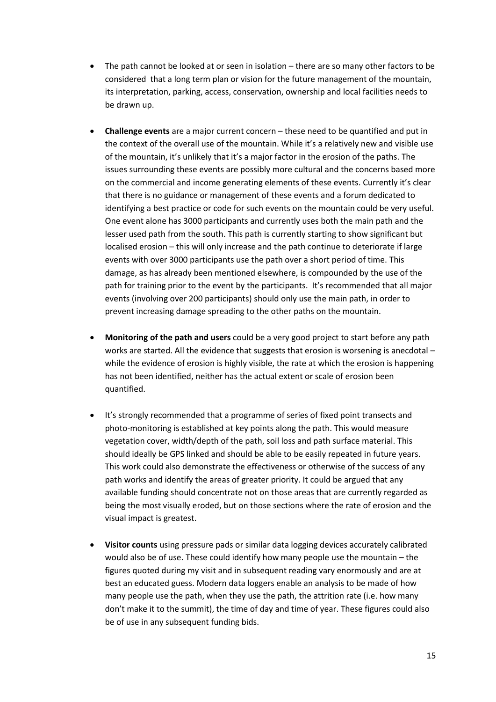- The path cannot be looked at or seen in isolation there are so many other factors to be considered that a long term plan or vision for the future management of the mountain, its interpretation, parking, access, conservation, ownership and local facilities needs to be drawn up.
- **Challenge events** are a major current concern these need to be quantified and put in the context of the overall use of the mountain. While it's a relatively new and visible use of the mountain, it's unlikely that it's a major factor in the erosion of the paths. The issues surrounding these events are possibly more cultural and the concerns based more on the commercial and income generating elements of these events. Currently it's clear that there is no guidance or management of these events and a forum dedicated to identifying a best practice or code for such events on the mountain could be very useful. One event alone has 3000 participants and currently uses both the main path and the lesser used path from the south. This path is currently starting to show significant but localised erosion – this will only increase and the path continue to deteriorate if large events with over 3000 participants use the path over a short period of time. This damage, as has already been mentioned elsewhere, is compounded by the use of the path for training prior to the event by the participants. It's recommended that all major events (involving over 200 participants) should only use the main path, in order to prevent increasing damage spreading to the other paths on the mountain.
- **Monitoring of the path and users** could be a very good project to start before any path works are started. All the evidence that suggests that erosion is worsening is anecdotal – while the evidence of erosion is highly visible, the rate at which the erosion is happening has not been identified, neither has the actual extent or scale of erosion been quantified.
- It's strongly recommended that a programme of series of fixed point transects and photo-monitoring is established at key points along the path. This would measure vegetation cover, width/depth of the path, soil loss and path surface material. This should ideally be GPS linked and should be able to be easily repeated in future years. This work could also demonstrate the effectiveness or otherwise of the success of any path works and identify the areas of greater priority. It could be argued that any available funding should concentrate not on those areas that are currently regarded as being the most visually eroded, but on those sections where the rate of erosion and the visual impact is greatest.
- **Visitor counts** using pressure pads or similar data logging devices accurately calibrated would also be of use. These could identify how many people use the mountain – the figures quoted during my visit and in subsequent reading vary enormously and are at best an educated guess. Modern data loggers enable an analysis to be made of how many people use the path, when they use the path, the attrition rate (i.e. how many don't make it to the summit), the time of day and time of year. These figures could also be of use in any subsequent funding bids.